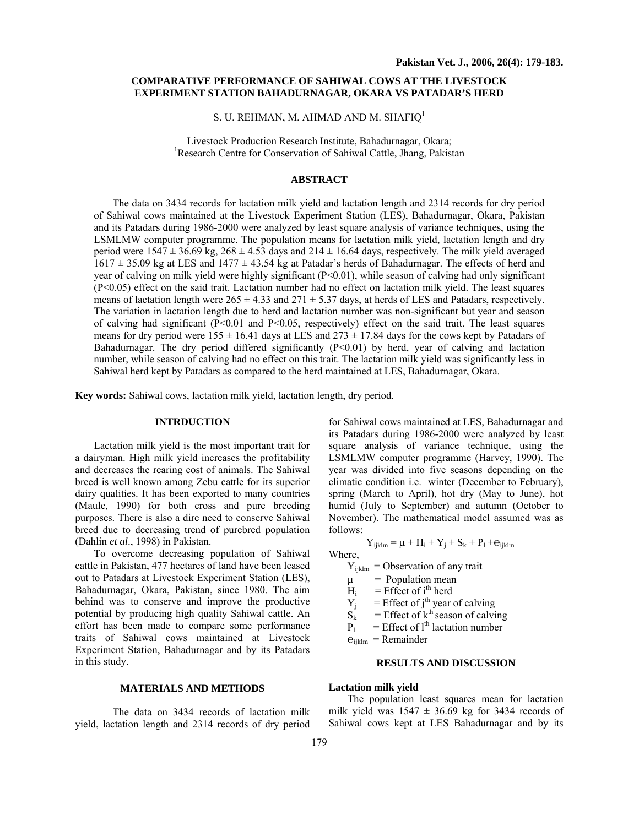# **COMPARATIVE PERFORMANCE OF SAHIWAL COWS AT THE LIVESTOCK EXPERIMENT STATION BAHADURNAGAR, OKARA VS PATADAR'S HERD**

S. U. REHMAN, M. AHMAD AND M. SHAFIQ $^1$ 

Livestock Production Research Institute, Bahadurnagar, Okara; 1 Research Centre for Conservation of Sahiwal Cattle, Jhang, Pakistan

## **ABSTRACT**

The data on 3434 records for lactation milk yield and lactation length and 2314 records for dry period of Sahiwal cows maintained at the Livestock Experiment Station (LES), Bahadurnagar, Okara, Pakistan and its Patadars during 1986-2000 were analyzed by least square analysis of variance techniques, using the LSMLMW computer programme. The population means for lactation milk yield, lactation length and dry period were  $1547 \pm 36.69$  kg,  $268 \pm 4.53$  days and  $214 \pm 16.64$  days, respectively. The milk yield averaged  $1617 \pm 35.09$  kg at LES and  $1477 \pm 43.54$  kg at Patadar's herds of Bahadurnagar. The effects of herd and year of calving on milk yield were highly significant  $(P<0.01)$ , while season of calving had only significant (P<0.05) effect on the said trait. Lactation number had no effect on lactation milk yield. The least squares means of lactation length were  $265 \pm 4.33$  and  $271 \pm 5.37$  days, at herds of LES and Patadars, respectively. The variation in lactation length due to herd and lactation number was non-significant but year and season of calving had significant  $(P< 0.01$  and  $P< 0.05$ , respectively) effect on the said trait. The least squares means for dry period were  $155 \pm 16.41$  days at LES and  $273 \pm 17.84$  days for the cows kept by Patadars of Bahadurnagar. The dry period differed significantly  $(P< 0.01)$  by herd, year of calving and lactation number, while season of calving had no effect on this trait. The lactation milk yield was significantly less in Sahiwal herd kept by Patadars as compared to the herd maintained at LES, Bahadurnagar, Okara.

**Key words:** Sahiwal cows, lactation milk yield, lactation length, dry period.

### **INTRDUCTION**

Lactation milk yield is the most important trait for a dairyman. High milk yield increases the profitability and decreases the rearing cost of animals. The Sahiwal breed is well known among Zebu cattle for its superior dairy qualities. It has been exported to many countries (Maule, 1990) for both cross and pure breeding purposes. There is also a dire need to conserve Sahiwal breed due to decreasing trend of purebred population (Dahlin *et al*., 1998) in Pakistan.

To overcome decreasing population of Sahiwal cattle in Pakistan, 477 hectares of land have been leased out to Patadars at Livestock Experiment Station (LES), Bahadurnagar, Okara, Pakistan, since 1980. The aim behind was to conserve and improve the productive potential by producing high quality Sahiwal cattle. An effort has been made to compare some performance traits of Sahiwal cows maintained at Livestock Experiment Station, Bahadurnagar and by its Patadars in this study.

### **MATERIALS AND METHODS**

The data on 3434 records of lactation milk yield, lactation length and 2314 records of dry period for Sahiwal cows maintained at LES, Bahadurnagar and its Patadars during 1986-2000 were analyzed by least square analysis of variance technique, using the LSMLMW computer programme (Harvey, 1990). The year was divided into five seasons depending on the climatic condition i.e. winter (December to February), spring (March to April), hot dry (May to June), hot humid (July to September) and autumn (October to November). The mathematical model assumed was as follows:

$$
Y_{ijklm} = \mu + H_i + Y_j + S_k + P_l + e_{ijklm}
$$

Where,

 $Y_{ijklm} =$  Observation of any trait

- $\mu$  = Population mean
- $H_i$  = Effect of i<sup>th</sup> herd
- $Y_j$  = Effect of j<sup>th</sup> year of calving
- $S_k$  = Effect of k<sup>th</sup> season of calving
- $P_1$  = Effect of 1<sup>th</sup> lactation number

 $e_{ijklm}$  = Remainder

#### **RESULTS AND DISCUSSION**

### **Lactation milk yield**

The population least squares mean for lactation milk yield was  $1547 \pm 36.69$  kg for 3434 records of Sahiwal cows kept at LES Bahadurnagar and by its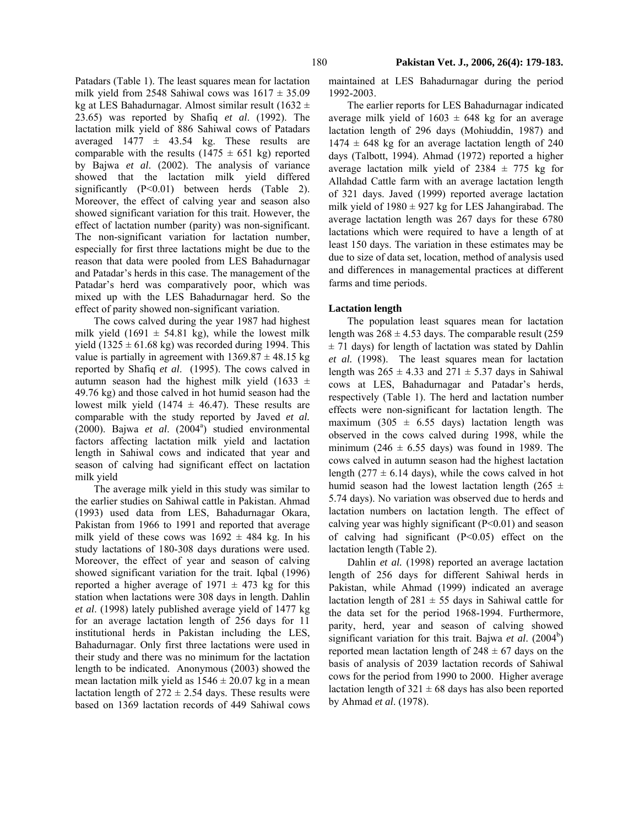Patadars (Table 1). The least squares mean for lactation milk yield from 2548 Sahiwal cows was  $1617 \pm 35.09$ kg at LES Bahadurnagar. Almost similar result (1632  $\pm$ 23.65) was reported by Shafiq *et al*. (1992). The lactation milk yield of 886 Sahiwal cows of Patadars averaged  $1477 \pm 43.54$  kg. These results are comparable with the results ( $1475 \pm 651$  kg) reported by Bajwa *et al*. (2002). The analysis of variance showed that the lactation milk yield differed significantly (P<0.01) between herds (Table 2). Moreover, the effect of calving year and season also showed significant variation for this trait. However, the effect of lactation number (parity) was non-significant. The non-significant variation for lactation number, especially for first three lactations might be due to the reason that data were pooled from LES Bahadurnagar and Patadar's herds in this case. The management of the Patadar's herd was comparatively poor, which was mixed up with the LES Bahadurnagar herd. So the effect of parity showed non-significant variation.

The cows calved during the year 1987 had highest milk yield (1691  $\pm$  54.81 kg), while the lowest milk yield (1325  $\pm$  61.68 kg) was recorded during 1994. This value is partially in agreement with  $1369.87 \pm 48.15$  kg reported by Shafiq *et al*. (1995). The cows calved in autumn season had the highest milk yield (1633  $\pm$ 49.76 kg) and those calved in hot humid season had the lowest milk yield (1474  $\pm$  46.47). These results are comparable with the study reported by Javed *et al.*  $(2000)$ . Bajwa *et al.*  $(2004^{\circ})$  studied environmental factors affecting lactation milk yield and lactation length in Sahiwal cows and indicated that year and season of calving had significant effect on lactation milk yield

The average milk yield in this study was similar to the earlier studies on Sahiwal cattle in Pakistan. Ahmad (1993) used data from LES, Bahadurnagar Okara, Pakistan from 1966 to 1991 and reported that average milk yield of these cows was  $1692 \pm 484$  kg. In his study lactations of 180-308 days durations were used. Moreover, the effect of year and season of calving showed significant variation for the trait. Iqbal (1996) reported a higher average of  $1971 \pm 473$  kg for this station when lactations were 308 days in length. Dahlin *et al*. (1998) lately published average yield of 1477 kg for an average lactation length of 256 days for 11 institutional herds in Pakistan including the LES, Bahadurnagar. Only first three lactations were used in their study and there was no minimum for the lactation length to be indicated. Anonymous (2003) showed the mean lactation milk yield as  $1546 \pm 20.07$  kg in a mean lactation length of  $272 \pm 2.54$  days. These results were based on 1369 lactation records of 449 Sahiwal cows

maintained at LES Bahadurnagar during the period 1992-2003.

The earlier reports for LES Bahadurnagar indicated average milk yield of  $1603 \pm 648$  kg for an average lactation length of 296 days (Mohiuddin, 1987) and  $1474 \pm 648$  kg for an average lactation length of 240 days (Talbott, 1994). Ahmad (1972) reported a higher average lactation milk yield of  $2384 \pm 775$  kg for Allahdad Cattle farm with an average lactation length of 321 days. Javed (1999) reported average lactation milk yield of  $1980 \pm 927$  kg for LES Jahangirabad. The average lactation length was 267 days for these 6780 lactations which were required to have a length of at least 150 days. The variation in these estimates may be due to size of data set, location, method of analysis used and differences in managemental practices at different farms and time periods.

### **Lactation length**

The population least squares mean for lactation length was  $268 \pm 4.53$  days. The comparable result (259)  $\pm$  71 days) for length of lactation was stated by Dahlin *et al.* (1998). The least squares mean for lactation length was  $265 \pm 4.33$  and  $271 \pm 5.37$  days in Sahiwal cows at LES, Bahadurnagar and Patadar's herds, respectively (Table 1). The herd and lactation number effects were non-significant for lactation length. The maximum (305  $\pm$  6.55 days) lactation length was observed in the cows calved during 1998, while the minimum (246  $\pm$  6.55 days) was found in 1989. The cows calved in autumn season had the highest lactation length (277  $\pm$  6.14 days), while the cows calved in hot humid season had the lowest lactation length (265  $\pm$ 5.74 days). No variation was observed due to herds and lactation numbers on lactation length. The effect of calving year was highly significant  $(P<0.01)$  and season of calving had significant (P<0.05) effect on the lactation length (Table 2).

Dahlin *et al.* (1998) reported an average lactation length of 256 days for different Sahiwal herds in Pakistan, while Ahmad (1999) indicated an average lactation length of  $281 \pm 55$  days in Sahiwal cattle for the data set for the period 1968-1994. Furthermore, parity, herd, year and season of calving showed significant variation for this trait. Bajwa et al. (2004<sup>b</sup>) reported mean lactation length of  $248 \pm 67$  days on the basis of analysis of 2039 lactation records of Sahiwal cows for the period from 1990 to 2000. Higher average lactation length of  $321 \pm 68$  days has also been reported by Ahmad *et al*. (1978).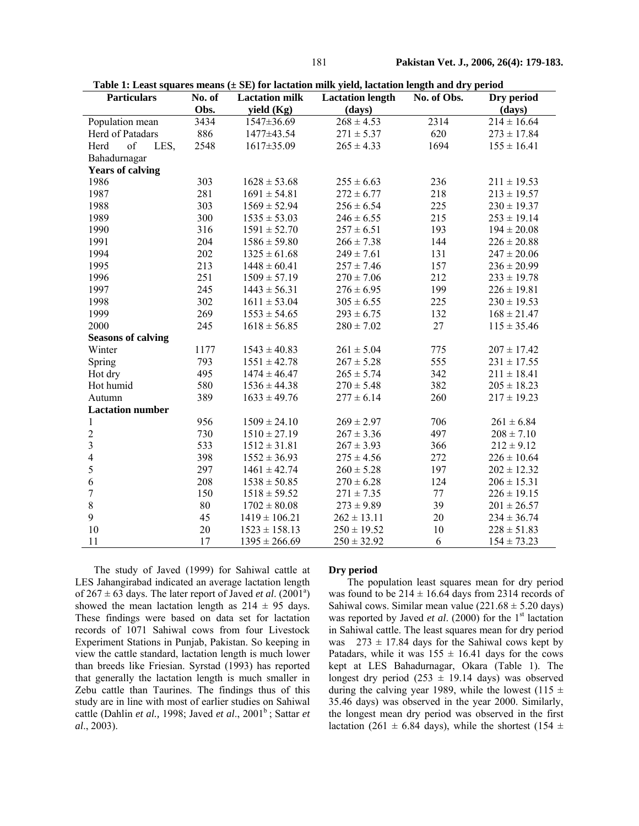| ۰.<br>M<br>۰. |  |
|---------------|--|

| <b>Particulars</b>        | No. of | <b>Lactation milk</b> | <b>Lactation length</b> | No. of Obs. | Dry period      |
|---------------------------|--------|-----------------------|-------------------------|-------------|-----------------|
|                           | Obs.   | yield (Kg)            | (days)                  |             | (days)          |
| Population mean           | 3434   | 1547±36.69            | $268 \pm 4.53$          | 2314        | $214 \pm 16.64$ |
| Herd of Patadars          | 886    | 1477±43.54            | $271 \pm 5.37$          | 620         | $273 \pm 17.84$ |
| of<br>Herd<br>LES,        | 2548   | 1617±35.09            | $265 \pm 4.33$          | 1694        | $155 \pm 16.41$ |
| Bahadurnagar              |        |                       |                         |             |                 |
| <b>Years of calving</b>   |        |                       |                         |             |                 |
| 1986                      | 303    | $1628 \pm 53.68$      | $255 \pm 6.63$          | 236         | $211 \pm 19.53$ |
| 1987                      | 281    | $1691 \pm 54.81$      | $272 \pm 6.77$          | 218         | $213 \pm 19.57$ |
| 1988                      | 303    | $1569 \pm 52.94$      | $256 \pm 6.54$          | 225         | $230 \pm 19.37$ |
| 1989                      | 300    | $1535 \pm 53.03$      | $246 \pm 6.55$          | 215         | $253 \pm 19.14$ |
| 1990                      | 316    | $1591 \pm 52.70$      | $257 \pm 6.51$          | 193         | $194 \pm 20.08$ |
| 1991                      | 204    | $1586 \pm 59.80$      | $266 \pm 7.38$          | 144         | $226 \pm 20.88$ |
| 1994                      | 202    | $1325 \pm 61.68$      | $249 \pm 7.61$          | 131         | $247 \pm 20.06$ |
| 1995                      | 213    | $1448 \pm 60.41$      | $257 \pm 7.46$          | 157         | $236 \pm 20.99$ |
| 1996                      | 251    | $1509 \pm 57.19$      | $270 \pm 7.06$          | 212         | $233 \pm 19.78$ |
| 1997                      | 245    | $1443 \pm 56.31$      | $276 \pm 6.95$          | 199         | $226 \pm 19.81$ |
| 1998                      | 302    | $1611 \pm 53.04$      | $305 \pm 6.55$          | 225         | $230 \pm 19.53$ |
| 1999                      | 269    | $1553 \pm 54.65$      | $293 \pm 6.75$          | 132         | $168 \pm 21.47$ |
| 2000                      | 245    | $1618 \pm 56.85$      | $280 \pm 7.02$          | 27          | $115 \pm 35.46$ |
| <b>Seasons of calving</b> |        |                       |                         |             |                 |
| Winter                    | 1177   | $1543 \pm 40.83$      | $261 \pm 5.04$          | 775         | $207 \pm 17.42$ |
| Spring                    | 793    | $1551 \pm 42.78$      | $267 \pm 5.28$          | 555         | $231 \pm 17.55$ |
| Hot dry                   | 495    | $1474 \pm 46.47$      | $265 \pm 5.74$          | 342         | $211 \pm 18.41$ |
| Hot humid                 | 580    | $1536 \pm 44.38$      | $270 \pm 5.48$          | 382         | $205 \pm 18.23$ |
| Autumn                    | 389    | $1633 \pm 49.76$      | $277 \pm 6.14$          | 260         | $217 \pm 19.23$ |
| <b>Lactation number</b>   |        |                       |                         |             |                 |
| 1                         | 956    | $1509 \pm 24.10$      | $269 \pm 2.97$          | 706         | $261 \pm 6.84$  |
| $\overline{2}$            | 730    | $1510 \pm 27.19$      | $267 \pm 3.36$          | 497         | $208 \pm 7.10$  |
| $\overline{3}$            | 533    | $1512 \pm 31.81$      | $267 \pm 3.93$          | 366         | $212 \pm 9.12$  |
| $\overline{4}$            | 398    | $1552 \pm 36.93$      | $275 \pm 4.56$          | 272         | $226 \pm 10.64$ |
| 5                         | 297    | $1461 \pm 42.74$      | $260 \pm 5.28$          | 197         | $202 \pm 12.32$ |
| 6                         | 208    | $1538 \pm 50.85$      | $270 \pm 6.28$          | 124         | $206 \pm 15.31$ |
| $\overline{7}$            | 150    | $1518 \pm 59.52$      | $271 \pm 7.35$          | 77          | $226 \pm 19.15$ |
| 8                         | 80     | $1702 \pm 80.08$      | $273 \pm 9.89$          | 39          | $201 \pm 26.57$ |
| 9                         | 45     | $1419 \pm 106.21$     | $262 \pm 13.11$         | 20          | $234 \pm 36.74$ |
| 10                        | 20     | $1523 \pm 158.13$     | $250 \pm 19.52$         | 10          | $228 \pm 51.83$ |
| 11                        | 17     | $1395 \pm 266.69$     | $250 \pm 32.92$         | 6           | $154 \pm 73.23$ |

 **Table 1: Least squares means (± SE) for lactation milk yield, lactation length and dry period** 

The study of Javed (1999) for Sahiwal cattle at LES Jahangirabad indicated an average lactation length of  $267 \pm 63$  days. The later report of Javed *et al.*  $(2001^a)$ showed the mean lactation length as  $214 \pm 95$  days. These findings were based on data set for lactation records of 1071 Sahiwal cows from four Livestock Experiment Stations in Punjab, Pakistan. So keeping in view the cattle standard, lactation length is much lower than breeds like Friesian. Syrstad (1993) has reported that generally the lactation length is much smaller in Zebu cattle than Taurines. The findings thus of this study are in line with most of earlier studies on Sahiwal cattle (Dahlin *et al.*, 1998; Javed *et al.*, 2001<sup>b</sup>; Sattar *et al*., 2003).

### **Dry period**

The population least squares mean for dry period was found to be  $214 \pm 16.64$  days from 2314 records of Sahiwal cows. Similar mean value  $(221.68 \pm 5.20 \text{ days})$ was reported by Javed *et al.* (2000) for the 1<sup>st</sup> lactation in Sahiwal cattle. The least squares mean for dry period was  $273 \pm 17.84$  days for the Sahiwal cows kept by Patadars, while it was  $155 \pm 16.41$  days for the cows kept at LES Bahadurnagar, Okara (Table 1). The longest dry period (253  $\pm$  19.14 days) was observed during the calving year 1989, while the lowest (115  $\pm$ 35.46 days) was observed in the year 2000. Similarly, the longest mean dry period was observed in the first lactation (261  $\pm$  6.84 days), while the shortest (154  $\pm$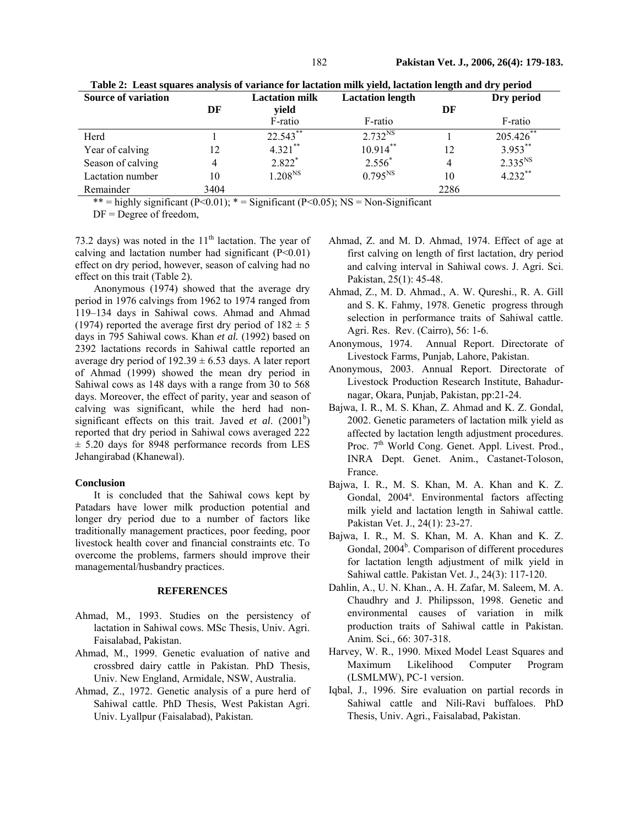| <b>Source of variation</b> |      | <b>Lactation milk</b> | <b>Lactation length</b> |      | Dry period   |
|----------------------------|------|-----------------------|-------------------------|------|--------------|
|                            | DF   | vield                 |                         | DF   |              |
|                            |      | F-ratio               | F-ratio                 |      | F-ratio      |
| Herd                       |      | $22.543$ **           | $2.732^{NS}$            |      | 205.426**    |
| Year of calving            | 12   | $4.321***$            | $10.914***$             | 12   | $3.953***$   |
| Season of calving          | 4    | 2.822*                | $2.556*$                |      | $2.335^{NS}$ |
| Lactation number           | 10   | $1.208^{NS}$          | $0.795^{NS}$            | 10   | $4.232***$   |
| Remainder                  | 3404 |                       |                         | 2286 |              |

 **Table 2: Least squares analysis of variance for lactation milk yield, lactation length and dry period** 

\*\* = highly significant  $(P<0.01)$ ; \* = Significant  $(P<0.05)$ ; NS = Non-Significant

 $DF = Degree$  of freedom,

73.2 days) was noted in the  $11<sup>th</sup>$  lactation. The year of calving and lactation number had significant  $(P<0.01)$ effect on dry period, however, season of calving had no effect on this trait (Table 2).

Anonymous (1974) showed that the average dry period in 1976 calvings from 1962 to 1974 ranged from 119–134 days in Sahiwal cows. Ahmad and Ahmad (1974) reported the average first dry period of  $182 \pm 5$ days in 795 Sahiwal cows. Khan *et al.* (1992) based on 2392 lactations records in Sahiwal cattle reported an average dry period of  $192.39 \pm 6.53$  days. A later report of Ahmad (1999) showed the mean dry period in Sahiwal cows as 148 days with a range from 30 to 568 days. Moreover, the effect of parity, year and season of calving was significant, while the herd had nonsignificant effects on this trait. Javed *et al.*  $(2001<sup>b</sup>)$ reported that dry period in Sahiwal cows averaged 222  $\pm$  5.20 days for 8948 performance records from LES Jehangirabad (Khanewal).

#### **Conclusion**

It is concluded that the Sahiwal cows kept by Patadars have lower milk production potential and longer dry period due to a number of factors like traditionally management practices, poor feeding, poor livestock health cover and financial constraints etc. To overcome the problems, farmers should improve their managemental/husbandry practices.

### **REFERENCES**

- Ahmad, M., 1993. Studies on the persistency of lactation in Sahiwal cows. MSc Thesis, Univ. Agri. Faisalabad, Pakistan.
- Ahmad, M., 1999. Genetic evaluation of native and crossbred dairy cattle in Pakistan. PhD Thesis, Univ. New England, Armidale, NSW, Australia.
- Ahmad, Z., 1972. Genetic analysis of a pure herd of Sahiwal cattle. PhD Thesis, West Pakistan Agri. Univ. Lyallpur (Faisalabad), Pakistan.
- Ahmad, Z. and M. D. Ahmad, 1974. Effect of age at first calving on length of first lactation, dry period and calving interval in Sahiwal cows. J. Agri. Sci. Pakistan, 25(1): 45-48.
- Ahmad, Z., M. D. Ahmad., A. W. Qureshi., R. A. Gill and S. K. Fahmy, 1978. Genetic progress through selection in performance traits of Sahiwal cattle. Agri. Res. Rev. (Cairro), 56: 1-6.
- Anonymous, 1974. Annual Report. Directorate of Livestock Farms, Punjab, Lahore, Pakistan.
- Anonymous, 2003. Annual Report. Directorate of Livestock Production Research Institute, Bahadurnagar, Okara, Punjab, Pakistan, pp:21-24.
- Bajwa, I. R., M. S. Khan, Z. Ahmad and K. Z. Gondal, 2002. Genetic parameters of lactation milk yield as affected by lactation length adjustment procedures. Proc. 7<sup>th</sup> World Cong. Genet. Appl. Livest. Prod., INRA Dept. Genet. Anim., Castanet-Toloson, France.
- Bajwa, I. R., M. S. Khan, M. A. Khan and K. Z. Gondal, 2004<sup>a</sup>. Environmental factors affecting milk yield and lactation length in Sahiwal cattle. Pakistan Vet. J., 24(1): 23-27.
- Bajwa, I. R., M. S. Khan, M. A. Khan and K. Z. Gondal, 2004<sup>b</sup>. Comparison of different procedures for lactation length adjustment of milk yield in Sahiwal cattle. Pakistan Vet. J., 24(3): 117-120.
- Dahlin, A., U. N. Khan., A. H. Zafar, M. Saleem, M. A. Chaudhry and J. Philipsson, 1998. Genetic and environmental causes of variation in milk production traits of Sahiwal cattle in Pakistan. Anim. Sci., 66: 307-318.
- Harvey, W. R., 1990. Mixed Model Least Squares and Maximum Likelihood Computer Program (LSMLMW), PC-1 version.
- Iqbal, J., 1996. Sire evaluation on partial records in Sahiwal cattle and Nili-Ravi buffaloes. PhD Thesis, Univ. Agri., Faisalabad, Pakistan.